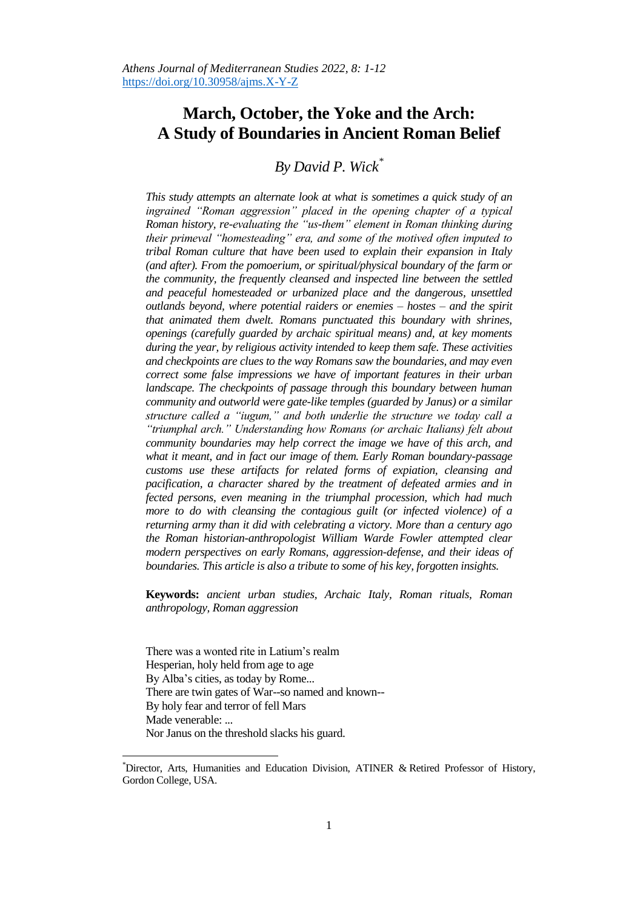## **March, October, the Yoke and the Arch: A Study of Boundaries in Ancient Roman Belief**

*By David P. Wick\**

*This study attempts an alternate look at what is sometimes a quick study of an ingrained "Roman aggression" placed in the opening chapter of a typical Roman history, re-evaluating the "us-them" element in Roman thinking during their primeval "homesteading" era, and some of the motived often imputed to tribal Roman culture that have been used to explain their expansion in Italy (and after). From the pomoerium, or spiritual/physical boundary of the farm or the community, the frequently cleansed and inspected line between the settled and peaceful homesteaded or urbanized place and the dangerous, unsettled outlands beyond, where potential raiders or enemies – hostes – and the spirit that animated them dwelt. Romans punctuated this boundary with shrines, openings (carefully guarded by archaic spiritual means) and, at key moments during the year, by religious activity intended to keep them safe. These activities and checkpoints are clues to the way Romans saw the boundaries, and may even correct some false impressions we have of important features in their urban*  landscape. The checkpoints of passage through this boundary between human *community and outworld were gate-like temples (guarded by Janus) or a similar structure called a "iugum," and both underlie the structure we today call a "triumphal arch." Understanding how Romans (or archaic Italians) felt about community boundaries may help correct the image we have of this arch, and what it meant, and in fact our image of them. Early Roman boundary-passage customs use these artifacts for related forms of expiation, cleansing and pacification, a character shared by the treatment of defeated armies and in fected persons, even meaning in the triumphal procession, which had much more to do with cleansing the contagious guilt (or infected violence) of a returning army than it did with celebrating a victory. More than a century ago the Roman historian-anthropologist William Warde Fowler attempted clear modern perspectives on early Romans, aggression-defense, and their ideas of boundaries. This article is also a tribute to some of his key, forgotten insights.* 

**Keywords:** *ancient urban studies, Archaic Italy, Roman rituals, Roman anthropology, Roman aggression*

There was a wonted rite in Latium's realm Hesperian, holy held from age to age By Alba's cities, as today by Rome... There are twin gates of War--so named and known-- By holy fear and terror of fell Mars Made venerable: ... Nor Janus on the threshold slacks his guard.

 $\overline{a}$ 

<sup>\*</sup>Director, Arts, Humanities and Education Division, ATINER & Retired Professor of History, Gordon College, USA.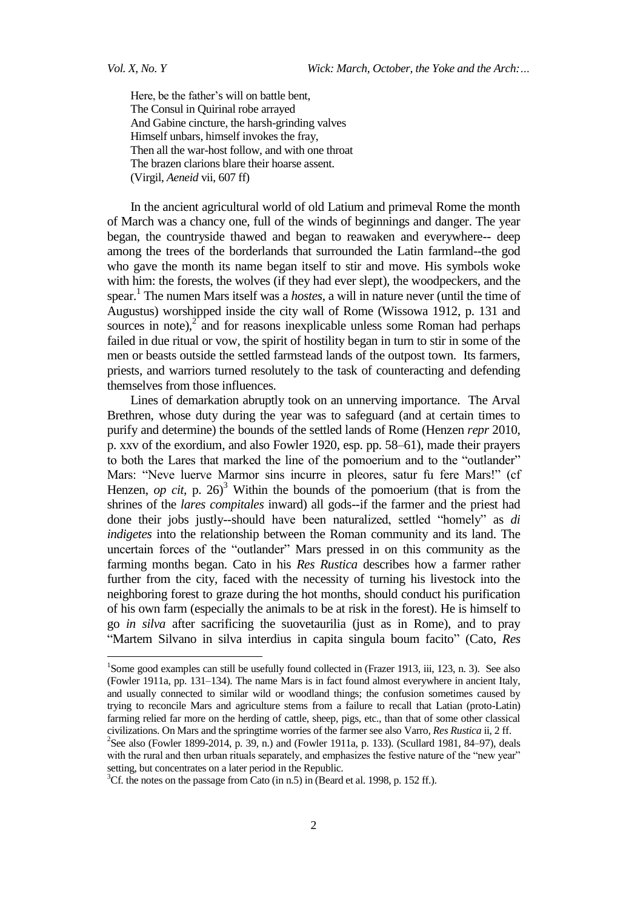$\overline{a}$ 

Here, be the father's will on battle bent, The Consul in Quirinal robe arrayed And Gabine cincture, the harsh-grinding valves Himself unbars, himself invokes the fray, Then all the war-host follow, and with one throat The brazen clarions blare their hoarse assent. (Virgil, *Aeneid* vii, 607 ff)

In the ancient agricultural world of old Latium and primeval Rome the month of March was a chancy one, full of the winds of beginnings and danger. The year began, the countryside thawed and began to reawaken and everywhere-- deep among the trees of the borderlands that surrounded the Latin farmland--the god who gave the month its name began itself to stir and move. His symbols woke with him: the forests, the wolves (if they had ever slept), the woodpeckers, and the spear.<sup>1</sup> The numen Mars itself was a *hostes*, a will in nature never (until the time of Augustus) worshipped inside the city wall of Rome (Wissowa 1912, p. 131 and sources in note), $2$  and for reasons inexplicable unless some Roman had perhaps failed in due ritual or vow, the spirit of hostility began in turn to stir in some of the men or beasts outside the settled farmstead lands of the outpost town. Its farmers, priests, and warriors turned resolutely to the task of counteracting and defending themselves from those influences.

Lines of demarkation abruptly took on an unnerving importance. The Arval Brethren, whose duty during the year was to safeguard (and at certain times to purify and determine) the bounds of the settled lands of Rome (Henzen *repr* 2010, p. xxv of the exordium, and also Fowler 1920, esp. pp. 58–61), made their prayers to both the Lares that marked the line of the pomoerium and to the "outlander" Mars: "Neve luerve Marmor sins incurre in pleores, satur fu fere Mars!" (cf Henzen, *op cit*, p. 26)<sup>3</sup> Within the bounds of the pomoerium (that is from the shrines of the *lares compitales* inward) all gods--if the farmer and the priest had done their jobs justly--should have been naturalized, settled "homely" as *di indigetes* into the relationship between the Roman community and its land. The uncertain forces of the "outlander" Mars pressed in on this community as the farming months began. Cato in his *Res Rustica* describes how a farmer rather further from the city, faced with the necessity of turning his livestock into the neighboring forest to graze during the hot months, should conduct his purification of his own farm (especially the animals to be at risk in the forest). He is himself to go *in silva* after sacrificing the suovetaurilia (just as in Rome), and to pray "Martem Silvano in silva interdius in capita singula boum facito" (Cato, Res

<sup>&</sup>lt;sup>1</sup>Some good examples can still be usefully found collected in (Frazer 1913, iii, 123, n. 3). See also (Fowler 1911a, pp. 131–134). The name Mars is in fact found almost everywhere in ancient Italy, and usually connected to similar wild or woodland things; the confusion sometimes caused by trying to reconcile Mars and agriculture stems from a failure to recall that Latian (proto-Latin) farming relied far more on the herding of cattle, sheep, pigs, etc., than that of some other classical civilizations. On Mars and the springtime worries of the farmer see also Varro, *Res Rustica* ii, 2 ff.

<sup>&</sup>lt;sup>2</sup>See also (Fowler 1899-2014, p. 39, n.) and (Fowler 1911a, p. 133). (Scullard 1981, 84–97), deals with the rural and then urban rituals separately, and emphasizes the festive nature of the "new year" setting, but concentrates on a later period in the Republic.

 ${}^{3}$ Cf. the notes on the passage from Cato (in n.5) in (Beard et al. 1998, p. 152 ff.).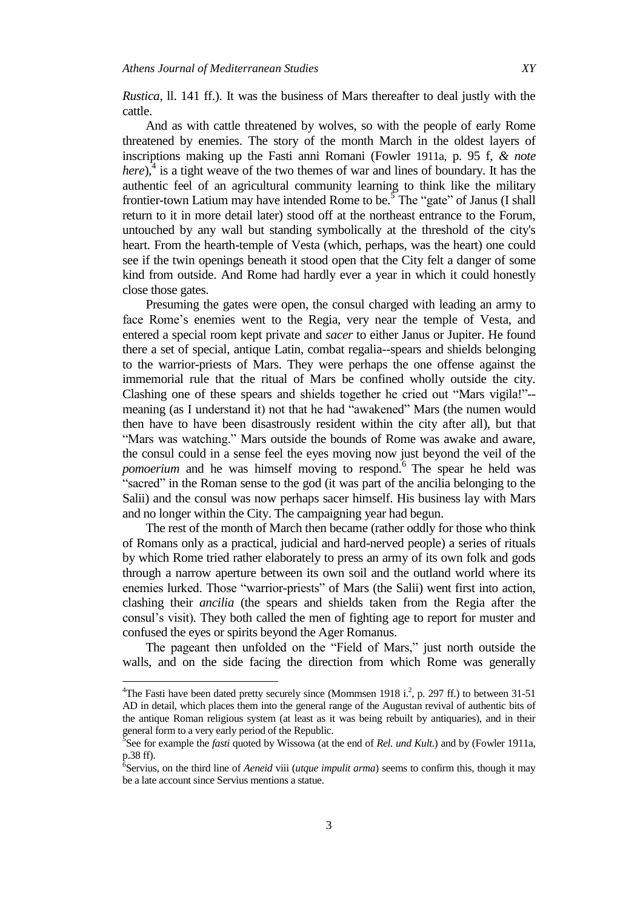*Rustica*, ll. 141 ff.). It was the business of Mars thereafter to deal justly with the cattle.

And as with cattle threatened by wolves, so with the people of early Rome threatened by enemies. The story of the month March in the oldest layers of inscriptions making up the Fasti anni Romani (Fowler 1911a, p. 95 f, *& note*  here),<sup>4</sup> is a tight weave of the two themes of war and lines of boundary. It has the authentic feel of an agricultural community learning to think like the military frontier-town Latium may have intended Rome to be.<sup>5</sup> The "gate" of Janus (I shall return to it in more detail later) stood off at the northeast entrance to the Forum, untouched by any wall but standing symbolically at the threshold of the city's heart. From the hearth-temple of Vesta (which, perhaps, was the heart) one could see if the twin openings beneath it stood open that the City felt a danger of some kind from outside. And Rome had hardly ever a year in which it could honestly close those gates.

Presuming the gates were open, the consul charged with leading an army to face Rome's enemies went to the Regia, very near the temple of Vesta, and entered a special room kept private and *sacer* to either Janus or Jupiter. He found there a set of special, antique Latin, combat regalia--spears and shields belonging to the warrior-priests of Mars. They were perhaps the one offense against the immemorial rule that the ritual of Mars be confined wholly outside the city. Clashing one of these spears and shields together he cried out "Mars vigila!"-meaning (as I understand it) not that he had "awakened" Mars (the numen would then have to have been disastrously resident within the city after all), but that "Mars was watching." Mars outside the bounds of Rome was awake and aware, the consul could in a sense feel the eyes moving now just beyond the veil of the pomoerium and he was himself moving to respond.<sup>6</sup> The spear he held was "sacred" in the Roman sense to the god (it was part of the ancilia belonging to the Salii) and the consul was now perhaps sacer himself. His business lay with Mars and no longer within the City. The campaigning year had begun.

The rest of the month of March then became (rather oddly for those who think of Romans only as a practical, judicial and hard-nerved people) a series of rituals by which Rome tried rather elaborately to press an army of its own folk and gods through a narrow aperture between its own soil and the outland world where its enemies lurked. Those "warrior-priests" of Mars (the Salii) went first into action, clashing their *ancilia* (the spears and shields taken from the Regia after the consul's visit). They both called the men of fighting age to report for muster and confused the eyes or spirits beyond the Ager Romanus.

The pageant then unfolded on the "Field of Mars," just north outside the walls, and on the side facing the direction from which Rome was generally

 $\overline{a}$ 

<sup>&</sup>lt;sup>4</sup>The Fasti have been dated pretty securely since (Mommsen 1918 i.<sup>2</sup>, p. 297 ff.) to between 31-51 AD in detail, which places them into the general range of the Augustan revival of authentic bits of the antique Roman religious system (at least as it was being rebuilt by antiquaries), and in their general form to a very early period of the Republic.

<sup>5</sup> See for example the *fasti* quoted by Wissowa (at the end of *Rel. und Kult*.) and by (Fowler 1911a, p.38 ff). 6 Servius, on the third line of *Aeneid* viii (*utque impulit arma*) seems to confirm this, though it may

be a late account since Servius mentions a statue.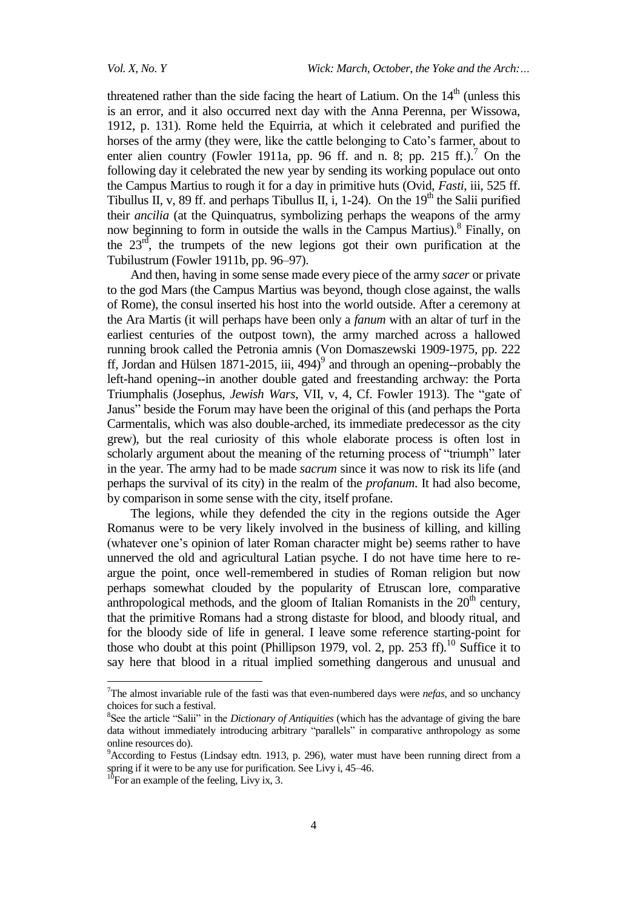threatened rather than the side facing the heart of Latium. On the  $14<sup>th</sup>$  (unless this is an error, and it also occurred next day with the Anna Perenna, per Wissowa, 1912, p. 131). Rome held the Equirria, at which it celebrated and purified the horses of the army (they were, like the cattle belonging to Cato's farmer, about to enter alien country (Fowler 1911a, pp. 96 ff. and n. 8; pp. 215 ff.).<sup>7</sup> On the following day it celebrated the new year by sending its working populace out onto the Campus Martius to rough it for a day in primitive huts (Ovid, *Fasti*, iii, 525 ff. Tibullus II, v, 89 ff. and perhaps Tibullus II, i, 1-24). On the  $19<sup>th</sup>$  the Salii purified their *ancilia* (at the Quinquatrus, symbolizing perhaps the weapons of the army now beginning to form in outside the walls in the Campus Martius).<sup>8</sup> Finally, on the  $23<sup>rd</sup>$ , the trumpets of the new legions got their own purification at the Tubilustrum (Fowler 1911b, pp. 96–97).

And then, having in some sense made every piece of the army *sacer* or private to the god Mars (the Campus Martius was beyond, though close against, the walls of Rome), the consul inserted his host into the world outside. After a ceremony at the Ara Martis (it will perhaps have been only a *fanum* with an altar of turf in the earliest centuries of the outpost town), the army marched across a hallowed running brook called the Petronia amnis (Von Domaszewski 1909-1975, pp. 222 ff, Jordan and Hülsen 1871-2015, iii, 494) $^9$  and through an opening--probably the left-hand opening--in another double gated and freestanding archway: the Porta Triumphalis (Josephus, *Jewish Wars*, VII, v, 4, Cf. Fowler 1913). The "gate of Janus" beside the Forum may have been the original of this (and perhaps the Porta Carmentalis, which was also double-arched, its immediate predecessor as the city grew), but the real curiosity of this whole elaborate process is often lost in scholarly argument about the meaning of the returning process of "triumph" later in the year. The army had to be made *sacrum* since it was now to risk its life (and perhaps the survival of its city) in the realm of the *profanum*. It had also become, by comparison in some sense with the city, itself profane.

The legions, while they defended the city in the regions outside the Ager Romanus were to be very likely involved in the business of killing, and killing (whatever one's opinion of later Roman character might be) seems rather to have unnerved the old and agricultural Latian psyche. I do not have time here to reargue the point, once well-remembered in studies of Roman religion but now perhaps somewhat clouded by the popularity of Etruscan lore, comparative anthropological methods, and the gloom of Italian Romanists in the  $20<sup>th</sup>$  century, that the primitive Romans had a strong distaste for blood, and bloody ritual, and for the bloody side of life in general. I leave some reference starting-point for those who doubt at this point (Phillipson 1979, vol. 2, pp. 253 ff).<sup>10</sup> Suffice it to say here that blood in a ritual implied something dangerous and unusual and

 $\overline{a}$ 

<sup>7</sup>The almost invariable rule of the fasti was that even-numbered days were *nefas*, and so unchancy choices for such a festival.

<sup>&</sup>lt;sup>8</sup>See the article "Salii" in the *Dictionary of Antiquities* (which has the advantage of giving the bare data without immediately introducing arbitrary "parallels" in comparative anthropology as some online resources do).

 $9$ According to Festus (Lindsay edtn. 1913, p. 296), water must have been running direct from a spring if it were to be any use for purification. See Livy i, 45–46.

 $10$ For an example of the feeling, Livy ix, 3.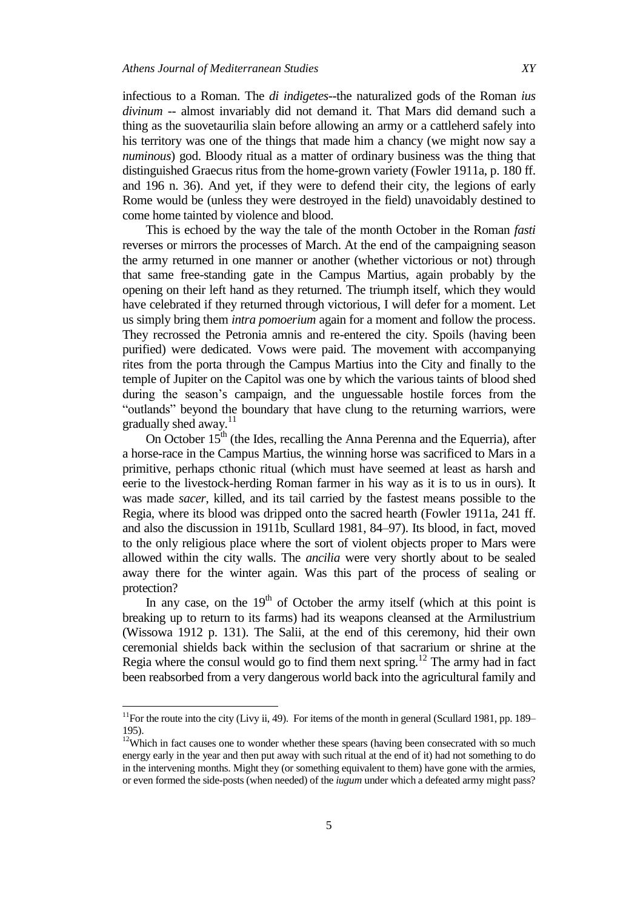infectious to a Roman. The *di indigetes*--the naturalized gods of the Roman *ius divinum* -- almost invariably did not demand it. That Mars did demand such a thing as the suovetaurilia slain before allowing an army or a cattleherd safely into his territory was one of the things that made him a chancy (we might now say a *numinous*) god. Bloody ritual as a matter of ordinary business was the thing that distinguished Graecus ritus from the home-grown variety (Fowler 1911a, p. 180 ff. and 196 n. 36). And yet, if they were to defend their city, the legions of early Rome would be (unless they were destroyed in the field) unavoidably destined to come home tainted by violence and blood.

This is echoed by the way the tale of the month October in the Roman *fasti* reverses or mirrors the processes of March. At the end of the campaigning season the army returned in one manner or another (whether victorious or not) through that same free-standing gate in the Campus Martius, again probably by the opening on their left hand as they returned. The triumph itself, which they would have celebrated if they returned through victorious, I will defer for a moment. Let us simply bring them *intra pomoerium* again for a moment and follow the process. They recrossed the Petronia amnis and re-entered the city. Spoils (having been purified) were dedicated. Vows were paid. The movement with accompanying rites from the porta through the Campus Martius into the City and finally to the temple of Jupiter on the Capitol was one by which the various taints of blood shed during the season's campaign, and the unguessable hostile forces from the "outlands" beyond the boundary that have clung to the returning warriors, were gradually shed away.<sup>11</sup>

On October  $15<sup>th</sup>$  (the Ides, recalling the Anna Perenna and the Equerria), after a horse-race in the Campus Martius, the winning horse was sacrificed to Mars in a primitive, perhaps cthonic ritual (which must have seemed at least as harsh and eerie to the livestock-herding Roman farmer in his way as it is to us in ours). It was made *sacer*, killed, and its tail carried by the fastest means possible to the Regia, where its blood was dripped onto the sacred hearth (Fowler 1911a, 241 ff. and also the discussion in 1911b, Scullard 1981, 84–97). Its blood, in fact, moved to the only religious place where the sort of violent objects proper to Mars were allowed within the city walls. The *ancilia* were very shortly about to be sealed away there for the winter again. Was this part of the process of sealing or protection?

In any case, on the  $19<sup>th</sup>$  of October the army itself (which at this point is breaking up to return to its farms) had its weapons cleansed at the Armilustrium (Wissowa 1912 p. 131). The Salii, at the end of this ceremony, hid their own ceremonial shields back within the seclusion of that sacrarium or shrine at the Regia where the consul would go to find them next spring.<sup>12</sup> The army had in fact been reabsorbed from a very dangerous world back into the agricultural family and

l

 $11$ For the route into the city (Livy ii, 49). For items of the month in general (Scullard 1981, pp. 189– 195).

 $12$ Which in fact causes one to wonder whether these spears (having been consecrated with so much energy early in the year and then put away with such ritual at the end of it) had not something to do in the intervening months. Might they (or something equivalent to them) have gone with the armies, or even formed the side-posts (when needed) of the *iugum* under which a defeated army might pass?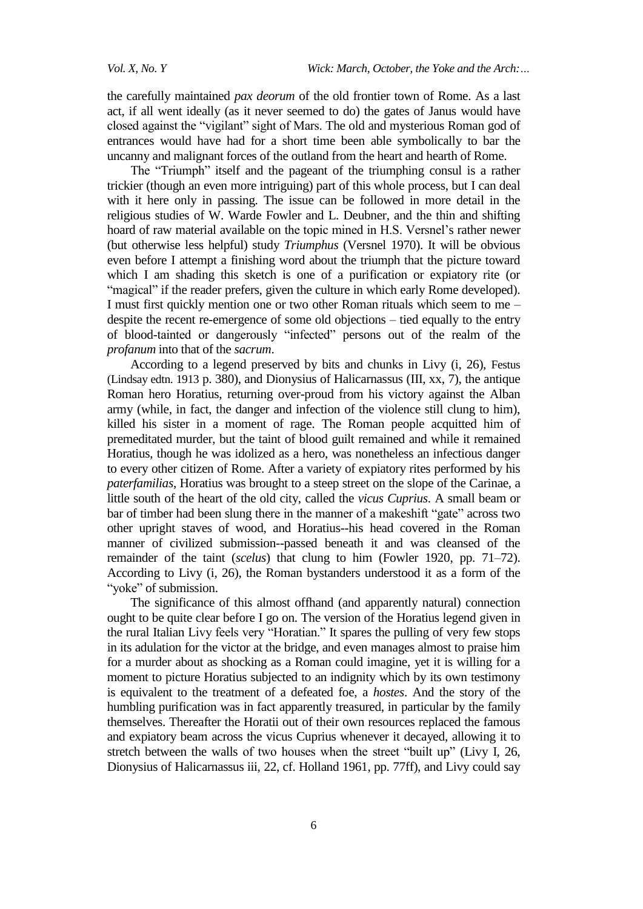the carefully maintained *pax deorum* of the old frontier town of Rome. As a last act, if all went ideally (as it never seemed to do) the gates of Janus would have closed against the "vigilant" sight of Mars. The old and mysterious Roman god of entrances would have had for a short time been able symbolically to bar the uncanny and malignant forces of the outland from the heart and hearth of Rome.

The "Triumph" itself and the pageant of the triumphing consul is a rather trickier (though an even more intriguing) part of this whole process, but I can deal with it here only in passing. The issue can be followed in more detail in the religious studies of W. Warde Fowler and L. Deubner, and the thin and shifting hoard of raw material available on the topic mined in H.S. Versnel's rather newer (but otherwise less helpful) study *Triumphus* (Versnel 1970). It will be obvious even before I attempt a finishing word about the triumph that the picture toward which I am shading this sketch is one of a purification or expiatory rite (or "magical" if the reader prefers, given the culture in which early Rome developed). I must first quickly mention one or two other Roman rituals which seem to me – despite the recent re-emergence of some old objections – tied equally to the entry of blood-tainted or dangerously "infected" persons out of the realm of the *profanum* into that of the *sacrum*.

According to a legend preserved by bits and chunks in Livy (i, 26), Festus (Lindsay edtn. 1913 p. 380), and Dionysius of Halicarnassus (III, xx, 7), the antique Roman hero Horatius, returning over-proud from his victory against the Alban army (while, in fact, the danger and infection of the violence still clung to him), killed his sister in a moment of rage. The Roman people acquitted him of premeditated murder, but the taint of blood guilt remained and while it remained Horatius, though he was idolized as a hero, was nonetheless an infectious danger to every other citizen of Rome. After a variety of expiatory rites performed by his *paterfamilias*, Horatius was brought to a steep street on the slope of the Carinae, a little south of the heart of the old city, called the *vicus Cuprius*. A small beam or bar of timber had been slung there in the manner of a makeshift "gate" across two other upright staves of wood, and Horatius--his head covered in the Roman manner of civilized submission--passed beneath it and was cleansed of the remainder of the taint (*scelus*) that clung to him (Fowler 1920, pp. 71–72). According to Livy (i, 26), the Roman bystanders understood it as a form of the "voke" of submission.

The significance of this almost offhand (and apparently natural) connection ought to be quite clear before I go on. The version of the Horatius legend given in the rural Italian Livy feels very "Horatian." It spares the pulling of very few stops in its adulation for the victor at the bridge, and even manages almost to praise him for a murder about as shocking as a Roman could imagine, yet it is willing for a moment to picture Horatius subjected to an indignity which by its own testimony is equivalent to the treatment of a defeated foe, a *hostes*. And the story of the humbling purification was in fact apparently treasured, in particular by the family themselves. Thereafter the Horatii out of their own resources replaced the famous and expiatory beam across the vicus Cuprius whenever it decayed, allowing it to stretch between the walls of two houses when the street "built up" (Livy I, 26, Dionysius of Halicarnassus iii, 22, cf. Holland 1961, pp. 77ff), and Livy could say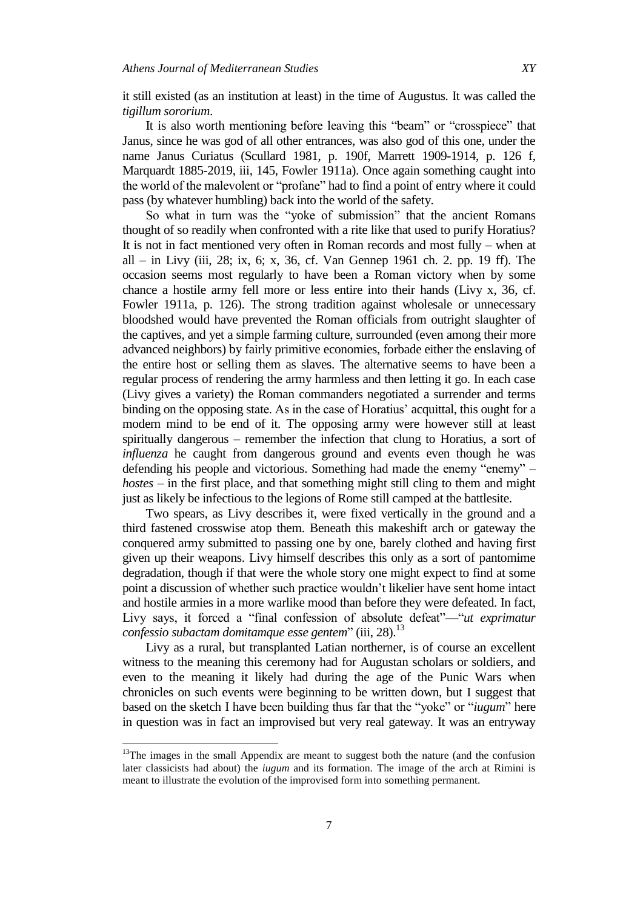it still existed (as an institution at least) in the time of Augustus. It was called the *tigillum sororium*.

It is also worth mentioning before leaving this "beam" or "crosspiece" that Janus, since he was god of all other entrances, was also god of this one, under the name Janus Curiatus (Scullard 1981, p. 190f, Marrett 1909-1914, p. 126 f, Marquardt 1885-2019, iii, 145, Fowler 1911a). Once again something caught into the world of the malevolent or "profane" had to find a point of entry where it could pass (by whatever humbling) back into the world of the safety.

So what in turn was the "yoke of submission" that the ancient Romans thought of so readily when confronted with a rite like that used to purify Horatius? It is not in fact mentioned very often in Roman records and most fully – when at all – in Livy (iii, 28; ix, 6; x, 36, cf. Van Gennep 1961 ch. 2. pp. 19 ff). The occasion seems most regularly to have been a Roman victory when by some chance a hostile army fell more or less entire into their hands (Livy x, 36, cf. Fowler 1911a, p. 126). The strong tradition against wholesale or unnecessary bloodshed would have prevented the Roman officials from outright slaughter of the captives, and yet a simple farming culture, surrounded (even among their more advanced neighbors) by fairly primitive economies, forbade either the enslaving of the entire host or selling them as slaves. The alternative seems to have been a regular process of rendering the army harmless and then letting it go. In each case (Livy gives a variety) the Roman commanders negotiated a surrender and terms binding on the opposing state. As in the case of Horatius' acquittal, this ought for a modern mind to be end of it. The opposing army were however still at least spiritually dangerous – remember the infection that clung to Horatius, a sort of *influenza* he caught from dangerous ground and events even though he was defending his people and victorious. Something had made the enemy "enemy" – *hostes* – in the first place, and that something might still cling to them and might just as likely be infectious to the legions of Rome still camped at the battlesite.

Two spears, as Livy describes it, were fixed vertically in the ground and a third fastened crosswise atop them. Beneath this makeshift arch or gateway the conquered army submitted to passing one by one, barely clothed and having first given up their weapons. Livy himself describes this only as a sort of pantomime degradation, though if that were the whole story one might expect to find at some point a discussion of whether such practice wouldn't likelier have sent home intact and hostile armies in a more warlike mood than before they were defeated. In fact, Livy says, it forced a "final confession of absolute defeat"—"*ut exprimatur* confessio subactam domitamque esse gentem" (iii, 28).<sup>13</sup>

Livy as a rural, but transplanted Latian northerner, is of course an excellent witness to the meaning this ceremony had for Augustan scholars or soldiers, and even to the meaning it likely had during the age of the Punic Wars when chronicles on such events were beginning to be written down, but I suggest that based on the sketch I have been building thus far that the "yoke" or "*iugum*" here in question was in fact an improvised but very real gateway. It was an entryway

l

 $13$ The images in the small Appendix are meant to suggest both the nature (and the confusion later classicists had about) the *iugum* and its formation. The image of the arch at Rimini is meant to illustrate the evolution of the improvised form into something permanent.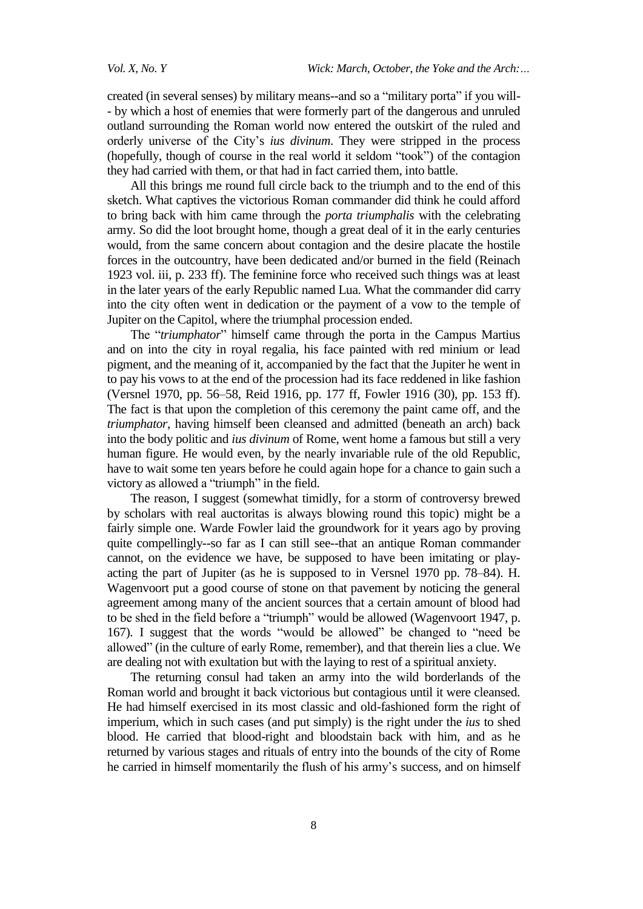created (in several senses) by military means--and so a "military porta" if you will-- by which a host of enemies that were formerly part of the dangerous and unruled outland surrounding the Roman world now entered the outskirt of the ruled and orderly universe of the City's *ius divinum*. They were stripped in the process (hopefully, though of course in the real world it seldom "took") of the contagion they had carried with them, or that had in fact carried them, into battle.

All this brings me round full circle back to the triumph and to the end of this sketch. What captives the victorious Roman commander did think he could afford to bring back with him came through the *porta triumphalis* with the celebrating army. So did the loot brought home, though a great deal of it in the early centuries would, from the same concern about contagion and the desire placate the hostile forces in the outcountry, have been dedicated and/or burned in the field (Reinach 1923 vol. iii, p. 233 ff). The feminine force who received such things was at least in the later years of the early Republic named Lua. What the commander did carry into the city often went in dedication or the payment of a vow to the temple of Jupiter on the Capitol, where the triumphal procession ended.

The "triumphator" himself came through the porta in the Campus Martius and on into the city in royal regalia, his face painted with red minium or lead pigment, and the meaning of it, accompanied by the fact that the Jupiter he went in to pay his vows to at the end of the procession had its face reddened in like fashion (Versnel 1970, pp. 56–58, Reid 1916, pp. 177 ff, Fowler 1916 (30), pp. 153 ff). The fact is that upon the completion of this ceremony the paint came off, and the *triumphator*, having himself been cleansed and admitted (beneath an arch) back into the body politic and *ius divinum* of Rome, went home a famous but still a very human figure. He would even, by the nearly invariable rule of the old Republic, have to wait some ten years before he could again hope for a chance to gain such a victory as allowed a "triumph" in the field.

The reason, I suggest (somewhat timidly, for a storm of controversy brewed by scholars with real auctoritas is always blowing round this topic) might be a fairly simple one. Warde Fowler laid the groundwork for it years ago by proving quite compellingly--so far as I can still see--that an antique Roman commander cannot, on the evidence we have, be supposed to have been imitating or playacting the part of Jupiter (as he is supposed to in Versnel 1970 pp. 78–84). H. Wagenvoort put a good course of stone on that pavement by noticing the general agreement among many of the ancient sources that a certain amount of blood had to be shed in the field before a "triumph" would be allowed (Wagenvoort 1947, p. 167). I suggest that the words "would be allowed" be changed to "need be allowed" (in the culture of early Rome, remember), and that therein lies a clue. We are dealing not with exultation but with the laying to rest of a spiritual anxiety.

The returning consul had taken an army into the wild borderlands of the Roman world and brought it back victorious but contagious until it were cleansed. He had himself exercised in its most classic and old-fashioned form the right of imperium, which in such cases (and put simply) is the right under the *ius* to shed blood. He carried that blood-right and bloodstain back with him, and as he returned by various stages and rituals of entry into the bounds of the city of Rome he carried in himself momentarily the flush of his army's success, and on himself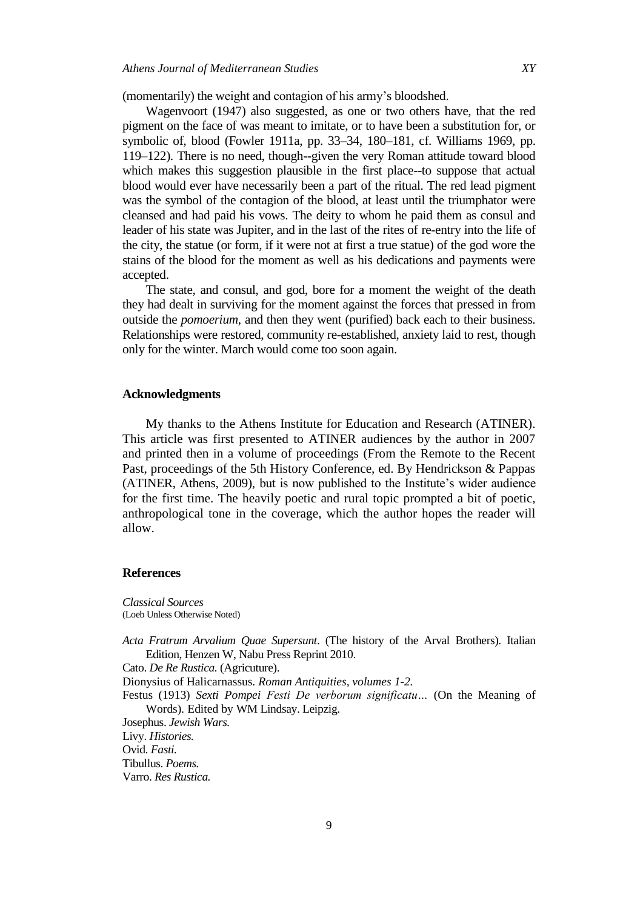(momentarily) the weight and contagion of his army's bloodshed.

Wagenvoort (1947) also suggested, as one or two others have, that the red pigment on the face of was meant to imitate, or to have been a substitution for, or symbolic of, blood (Fowler 1911a, pp. 33–34, 180–181, cf. Williams 1969, pp. 119–122). There is no need, though--given the very Roman attitude toward blood which makes this suggestion plausible in the first place--to suppose that actual blood would ever have necessarily been a part of the ritual. The red lead pigment was the symbol of the contagion of the blood, at least until the triumphator were cleansed and had paid his vows. The deity to whom he paid them as consul and leader of his state was Jupiter, and in the last of the rites of re-entry into the life of the city, the statue (or form, if it were not at first a true statue) of the god wore the stains of the blood for the moment as well as his dedications and payments were accepted.

The state, and consul, and god, bore for a moment the weight of the death they had dealt in surviving for the moment against the forces that pressed in from outside the *pomoerium*, and then they went (purified) back each to their business. Relationships were restored, community re-established, anxiety laid to rest, though only for the winter. March would come too soon again.

## **Acknowledgments**

My thanks to the Athens Institute for Education and Research (ATINER). This article was first presented to ATINER audiences by the author in 2007 and printed then in a volume of proceedings (From the Remote to the Recent Past, proceedings of the 5th History Conference, ed. By Hendrickson & Pappas (ATINER, Athens, 2009), but is now published to the Institute's wider audience for the first time. The heavily poetic and rural topic prompted a bit of poetic, anthropological tone in the coverage, which the author hopes the reader will allow.

## **References**

*Classical Sources*  (Loeb Unless Otherwise Noted)

*Acta Fratrum Arvalium Quae Supersunt*. (The history of the Arval Brothers). Italian Edition, Henzen W, Nabu Press Reprint 2010.

Cato. *De Re Rustica.* (Agricuture).

Dionysius of Halicarnassus. *Roman Antiquities, volumes 1-2.*

Festus (1913) *Sexti Pompei Festi De verborum significatu…* (On the Meaning of Words)*.* Edited by WM Lindsay. Leipzig.

Josephus. *Jewish Wars.*

Livy. *Histories.*

Ovid. *Fasti.*

Tibullus. *Poems.*

Varro. *Res Rustica.*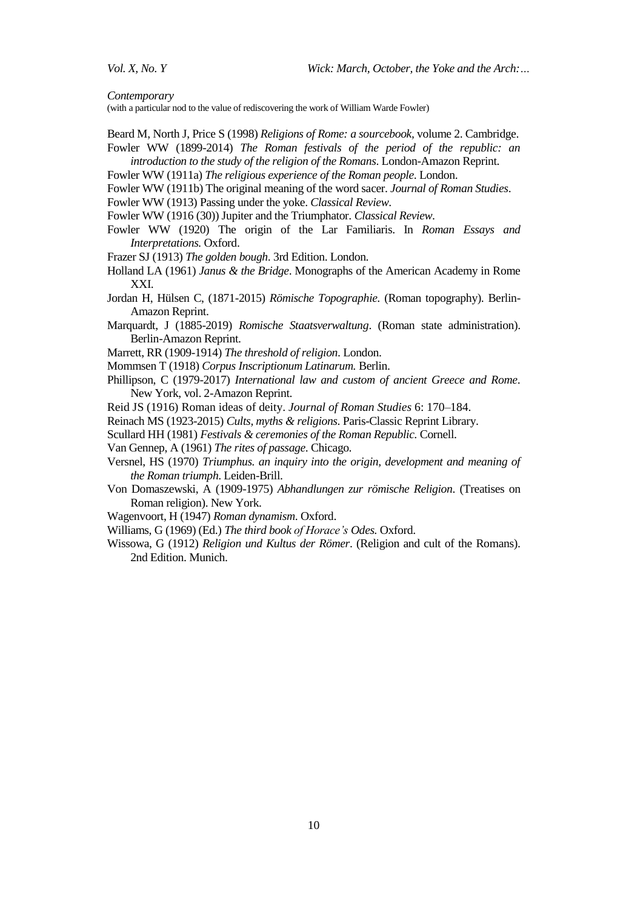*Contemporary* 

(with a particular nod to the value of rediscovering the work of William Warde Fowler)

- Beard M, North J, Price S (1998) *Religions of Rome: a sourcebook,* volume 2. Cambridge. Fowler WW (1899-2014) *[The Roman festivals of the period of the republic: an](https://www.amazon.com/Roman-Festivals-Period-Republic-Introduction/dp/1451002300/ref=sr_1_2?crid=3MLJRVW59DJJT&keywords=fowler+roman+religious+festivals&qid=1643644429&s=books&sprefix=fowler+roman+religious+festivals%2Cstripbooks%2C164&sr=1-2)*
- *[introduction to the study of the religion of the Romans](https://www.amazon.com/Roman-Festivals-Period-Republic-Introduction/dp/1451002300/ref=sr_1_2?crid=3MLJRVW59DJJT&keywords=fowler+roman+religious+festivals&qid=1643644429&s=books&sprefix=fowler+roman+religious+festivals%2Cstripbooks%2C164&sr=1-2)*. London-Amazon Reprint. Fowler WW (1911a) *The religious experience of the Roman people*. London.
- 
- Fowler WW (1911b) The original meaning of the word sacer. *Journal of Roman Studies*.
- Fowler WW (1913) Passing under the yoke. *Classical Review*.
- Fowler WW (1916 (30)) Jupiter and the Triumphator. *Classical Review*.
- Fowler WW (1920) The origin of the Lar Familiaris. In *Roman Essays and Interpretations.* Oxford.
- Frazer SJ (1913) *The golden bough*. 3rd Edition. London.
- Holland LA (1961) *Janus & the Bridge*. Monographs of the American Academy in Rome XXI.
- Jordan H, Hülsen C, (1871-2015) *Römische Topographie.* (Roman topography). Berlin-Amazon Reprint.
- Marquardt, J (1885-2019) *Romische Staatsverwaltung*. (Roman state administration). Berlin-Amazon Reprint.
- Marrett, RR (1909-1914) *The threshold of religion*. London.
- Mommsen T (1918) *Corpus Inscriptionum Latinarum.* Berlin.
- Phillipson, C (1979-2017) *International law and custom of ancient Greece and Rome*. New York, vol. 2-Amazon Reprint.
- Reid JS (1916) Roman ideas of deity. *Journal of Roman Studies* 6: 170–184.
- Reinach MS (1923-2015) *Cults, myths & religions*. Paris-Classic Reprint Library.
- Scullard HH (1981) *Festivals & ceremonies of the Roman Republic.* Cornell.
- Van Gennep, A (1961) *The rites of passage*. Chicago.
- Versnel, HS (1970) *Triumphus. an inquiry into the origin, development and meaning of the Roman triumph*. Leiden-Brill.
- Von Domaszewski, A (1909-1975) *Abhandlungen zur römische Religion*. (Treatises on Roman religion). New York.
- Wagenvoort, H (1947) *Roman dynamism*. Oxford.
- Williams, G (1969) (Ed.) *The third book of Horace's Odes.* Oxford.
- Wissowa, G (1912) *Religion und Kultus der Römer*. (Religion and cult of the Romans). 2nd Edition. Munich.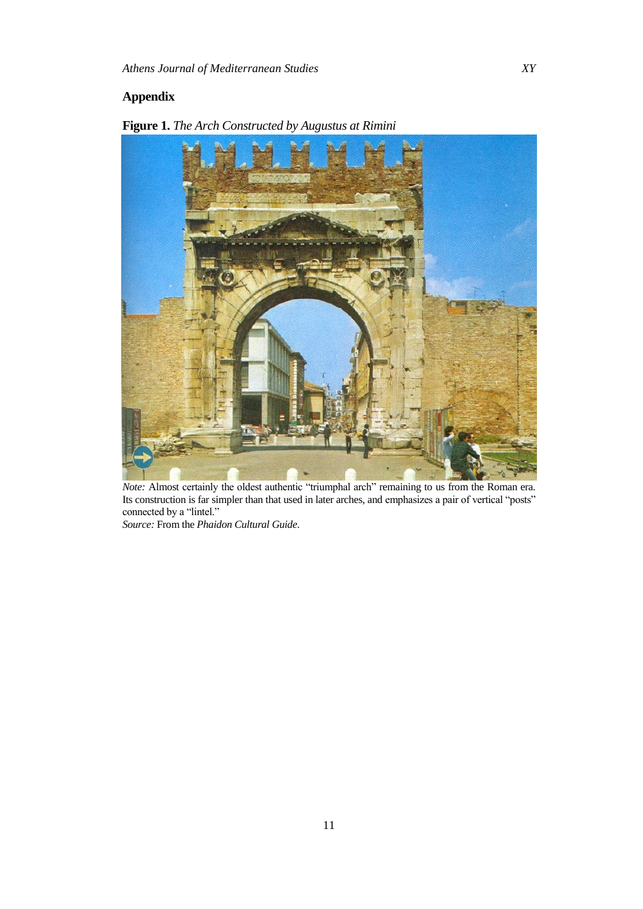## **Appendix**



**Figure 1.** *The Arch Constructed by Augustus at Rimini* 

*Note:* Almost certainly the oldest authentic "triumphal arch" remaining to us from the Roman era. Its construction is far simpler than that used in later arches, and emphasizes a pair of vertical "posts" connected by a "lintel."

*Source:* From the *Phaidon Cultural Guide*.